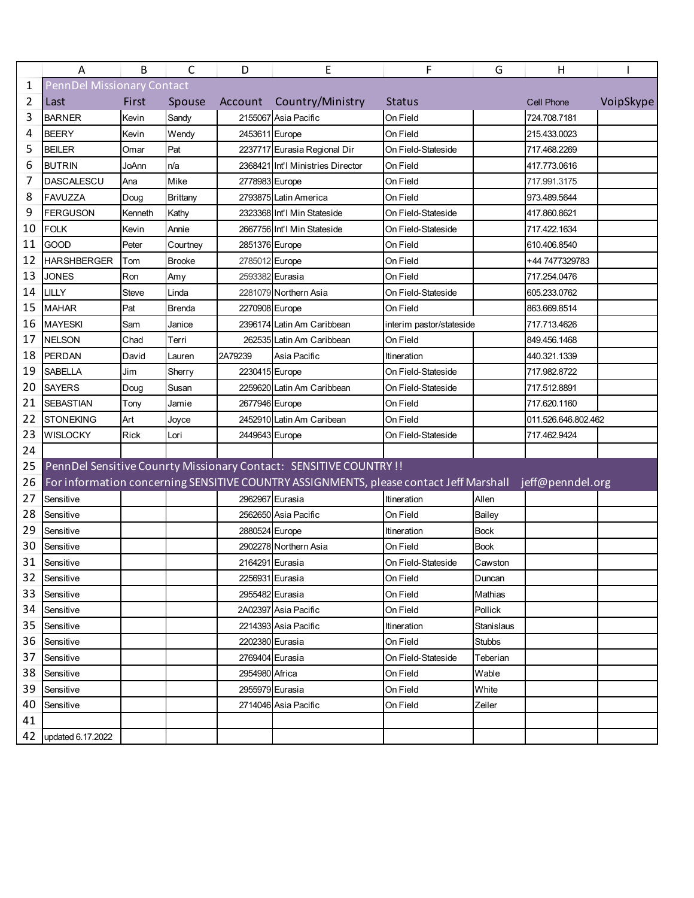|    | Α                  | B                                 | C               | D               | E                                                                                                       | F                        | G             | H                   |           |  |  |  |
|----|--------------------|-----------------------------------|-----------------|-----------------|---------------------------------------------------------------------------------------------------------|--------------------------|---------------|---------------------|-----------|--|--|--|
| 1  |                    | <b>PennDel Missionary Contact</b> |                 |                 |                                                                                                         |                          |               |                     |           |  |  |  |
| 2  | Last               | First                             | Spouse          | Account         | Country/Ministry                                                                                        | <b>Status</b>            |               | <b>Cell Phone</b>   | VoipSkype |  |  |  |
| 3  | <b>BARNER</b>      | Kevin                             | Sandy           |                 | 2155067 Asia Pacific                                                                                    | On Field                 |               | 724.708.7181        |           |  |  |  |
| 4  | <b>BEERY</b>       | Kevin                             | Wendy           | 2453611 Europe  |                                                                                                         | On Field                 |               | 215.433.0023        |           |  |  |  |
| 5  | <b>BEILER</b>      | Omar                              | Pat             |                 | 2237717 Eurasia Regional Dir                                                                            | On Field-Stateside       |               | 717.468.2269        |           |  |  |  |
| 6  | <b>BUTRIN</b>      | JoAnn                             | n/a             |                 | 2368421 Int'l Ministries Director                                                                       | On Field                 |               | 417.773.0616        |           |  |  |  |
| 7  | <b>DASCALESCU</b>  | Ana                               | Mike            | 2778983 Europe  |                                                                                                         | On Field                 |               | 717.991.3175        |           |  |  |  |
| 8  | <b>FAVUZZA</b>     | Doug                              | <b>Brittany</b> |                 | 2793875 Latin America                                                                                   | On Field                 |               | 973.489.5644        |           |  |  |  |
| 9  | <b>FERGUSON</b>    | Kenneth                           | Kathy           |                 | 2323368 Int'l Min Stateside                                                                             | On Field-Stateside       |               | 417.860.8621        |           |  |  |  |
| 10 | <b>FOLK</b>        | Kevin                             | Annie           |                 | 2667756 Int'l Min Stateside                                                                             | On Field-Stateside       |               | 717.422.1634        |           |  |  |  |
| 11 | <b>GOOD</b>        | Peter                             | Courtney        | 2851376 Europe  |                                                                                                         | On Field                 |               | 610.406.8540        |           |  |  |  |
| 12 | <b>HARSHBERGER</b> | Tom                               | <b>Brooke</b>   | 2785012 Europe  |                                                                                                         | On Field                 |               | +44 7477329783      |           |  |  |  |
| 13 | <b>JONES</b>       | Ron                               | Amy             | 2593382 Eurasia |                                                                                                         | On Field                 |               | 717.254.0476        |           |  |  |  |
| 14 | LILLY              | Steve                             | Linda           |                 | 2281079 Northern Asia                                                                                   | On Field-Stateside       |               | 605.233.0762        |           |  |  |  |
| 15 | <b>MAHAR</b>       | Pat                               | <b>Brenda</b>   | 2270908 Europe  |                                                                                                         | On Field                 |               | 863.669.8514        |           |  |  |  |
| 16 | <b>MAYESKI</b>     | Sam                               | Janice          |                 | 2396174 Latin Am Caribbean                                                                              | interim pastor/stateside |               | 717.713.4626        |           |  |  |  |
| 17 | <b>NELSON</b>      | Chad                              | Terri           |                 | 262535 Latin Am Caribbean                                                                               | On Field                 |               | 849.456.1468        |           |  |  |  |
| 18 | PERDAN             | David                             | Lauren          | 2A79239         | Asia Pacific                                                                                            | Itineration              |               | 440.321.1339        |           |  |  |  |
| 19 | <b>SABELLA</b>     | Jim                               | Sherry          | 2230415 Europe  |                                                                                                         | On Field-Stateside       |               | 717.982.8722        |           |  |  |  |
| 20 | <b>SAYERS</b>      | Doug                              | Susan           |                 | 2259620 Latin Am Caribbean                                                                              | On Field-Stateside       |               | 717.512.8891        |           |  |  |  |
| 21 | <b>SEBASTIAN</b>   | Tony                              | Jamie           | 2677946 Europe  |                                                                                                         | On Field                 |               | 717.620.1160        |           |  |  |  |
| 22 | <b>STONEKING</b>   | Art                               | Joyce           |                 | 2452910 Latin Am Caribean                                                                               | On Field                 |               | 011.526.646.802.462 |           |  |  |  |
| 23 | <b>WISLOCKY</b>    | <b>Rick</b>                       | Lori            | 2449643 Europe  |                                                                                                         | On Field-Stateside       |               | 717.462.9424        |           |  |  |  |
| 24 |                    |                                   |                 |                 |                                                                                                         |                          |               |                     |           |  |  |  |
| 25 |                    |                                   |                 |                 | PennDel Sensitive Counrty Missionary Contact: SENSITIVE COUNTRY !!                                      |                          |               |                     |           |  |  |  |
| 26 |                    |                                   |                 |                 | For information concerning SENSITIVE COUNTRY ASSIGNMENTS, please contact Jeff Marshall jeff@penndel.org |                          |               |                     |           |  |  |  |
| 27 | Sensitive          |                                   |                 | 2962967 Eurasia |                                                                                                         | Itineration              | Allen         |                     |           |  |  |  |
| 28 | Sensitive          |                                   |                 |                 | 2562650 Asia Pacific                                                                                    | On Field                 | Bailey        |                     |           |  |  |  |
| 29 | Sensitive          |                                   |                 | 2880524 Europe  |                                                                                                         | Itineration              | <b>Bock</b>   |                     |           |  |  |  |
| 30 | Sensitive          |                                   |                 |                 | 2902278 Northern Asia                                                                                   | On Field                 | <b>Book</b>   |                     |           |  |  |  |
| 31 | Sensitive          |                                   |                 | 2164291 Eurasia |                                                                                                         | On Field-Stateside       | Cawston       |                     |           |  |  |  |
| 32 | Sensitive          |                                   |                 | 2256931 Eurasia |                                                                                                         | On Field                 | Duncan        |                     |           |  |  |  |
| 33 | Sensitive          |                                   |                 | 2955482 Eurasia |                                                                                                         | On Field                 | Mathias       |                     |           |  |  |  |
| 34 | Sensitive          |                                   |                 |                 | 2A02397 Asia Pacific                                                                                    | On Field                 | Pollick       |                     |           |  |  |  |
| 35 | Sensitive          |                                   |                 |                 | 2214393 Asia Pacific                                                                                    | Itineration              | Stanislaus    |                     |           |  |  |  |
| 36 | Sensitive          |                                   |                 | 2202380 Eurasia |                                                                                                         | On Field                 | <b>Stubbs</b> |                     |           |  |  |  |
| 37 | Sensitive          |                                   |                 | 2769404 Eurasia |                                                                                                         | On Field-Stateside       | Teberian      |                     |           |  |  |  |
| 38 | Sensitive          |                                   |                 | 2954980 Africa  |                                                                                                         | On Field                 | Wable         |                     |           |  |  |  |
| 39 | Sensitive          |                                   |                 | 2955979 Eurasia |                                                                                                         | On Field                 | White         |                     |           |  |  |  |
| 40 | Sensitive          |                                   |                 |                 | 2714046 Asia Pacific                                                                                    | On Field                 | Zeiler        |                     |           |  |  |  |
| 41 |                    |                                   |                 |                 |                                                                                                         |                          |               |                     |           |  |  |  |
| 42 | updated 6.17.2022  |                                   |                 |                 |                                                                                                         |                          |               |                     |           |  |  |  |